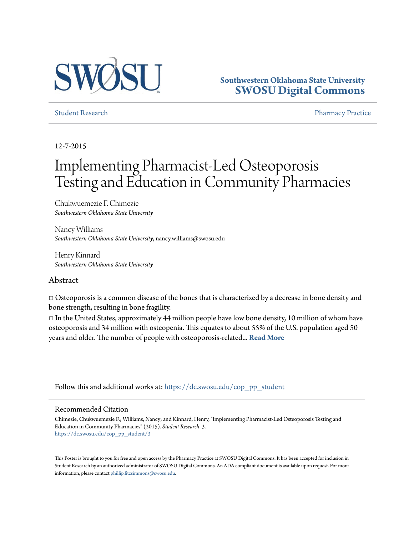

#### **Southwestern Oklahoma State University [SWOSU Digital Commons](https://dc.swosu.edu/?utm_source=dc.swosu.edu%2Fcop_pp_student%2F3&utm_medium=PDF&utm_campaign=PDFCoverPages)**

[Student Research](https://dc.swosu.edu/cop_pp_student?utm_source=dc.swosu.edu%2Fcop_pp_student%2F3&utm_medium=PDF&utm_campaign=PDFCoverPages) **[Pharmacy Practice](https://dc.swosu.edu/pp?utm_source=dc.swosu.edu%2Fcop_pp_student%2F3&utm_medium=PDF&utm_campaign=PDFCoverPages)** Pharmacy Practice **Pharmacy Practice** 

12-7-2015

# Implementing Pharmacist-Led Osteoporosis Testing and Education in Community Pharmacies

Chukwuemezie F. Chimezie *Southwestern Oklahoma State University*

Nancy Williams *Southwestern Oklahoma State University*, nancy.williams@swosu.edu

Henry Kinnard *Southwestern Oklahoma State University*

#### Abstract

□ Osteoporosis is a common disease of the bones that is characterized by a decrease in bone density and bone strength, resulting in bone fragility.

 $\Box$  In the United States, approximately 44 million people have low bone density, 10 million of whom have osteoporosis and 34 million with osteopenia. This equates to about 55% of the U.S. population aged 50 years and older. The number of people with osteoporosis-related... **[Read More](https://dc.swosu.edu/cop_pp_student/3)**

Follow this and additional works at: [https://dc.swosu.edu/cop\\_pp\\_student](https://dc.swosu.edu/cop_pp_student?utm_source=dc.swosu.edu%2Fcop_pp_student%2F3&utm_medium=PDF&utm_campaign=PDFCoverPages)

#### Recommended Citation

Chimezie, Chukwuemezie F.; Williams, Nancy; and Kinnard, Henry, "Implementing Pharmacist-Led Osteoporosis Testing and Education in Community Pharmacies" (2015). *Student Research*. 3. [https://dc.swosu.edu/cop\\_pp\\_student/3](https://dc.swosu.edu/cop_pp_student/3?utm_source=dc.swosu.edu%2Fcop_pp_student%2F3&utm_medium=PDF&utm_campaign=PDFCoverPages)

This Poster is brought to you for free and open access by the Pharmacy Practice at SWOSU Digital Commons. It has been accepted for inclusion in Student Research by an authorized administrator of SWOSU Digital Commons. An ADA compliant document is available upon request. For more information, please contact [phillip.fitzsimmons@swosu.edu](mailto:phillip.fitzsimmons@swosu.edu).